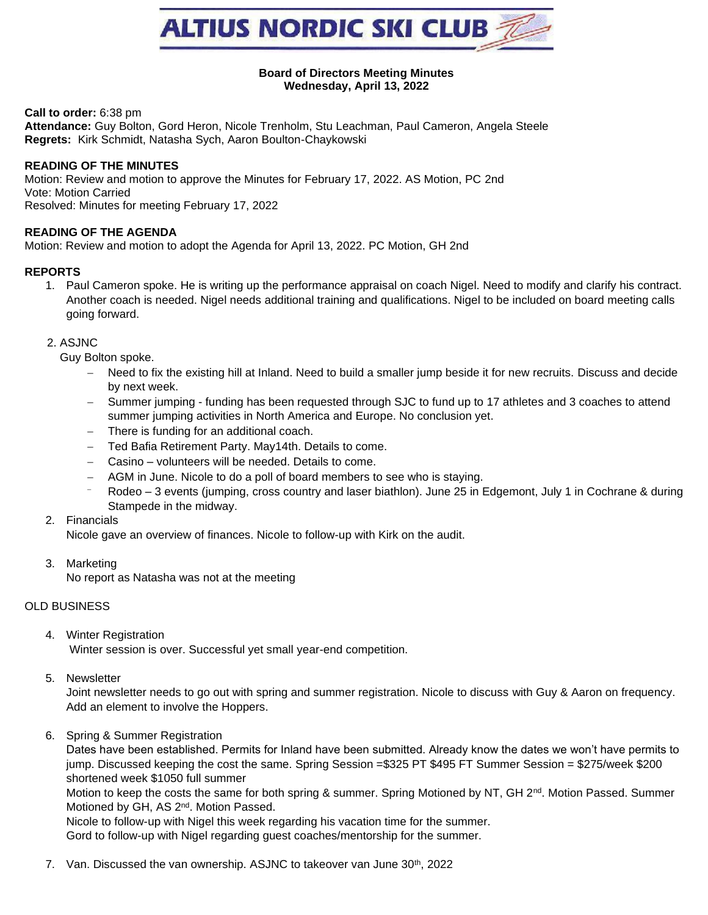

#### **Board of Directors Meeting Minutes Wednesday, April 13, 2022**

**Call to order:** 6:38 pm

**Attendance:** Guy Bolton, Gord Heron, Nicole Trenholm, Stu Leachman, Paul Cameron, Angela Steele **Regrets:** Kirk Schmidt, Natasha Sych, Aaron Boulton-Chaykowski

## **READING OF THE MINUTES**

Motion: Review and motion to approve the Minutes for February 17, 2022. AS Motion, PC 2nd Vote: Motion Carried Resolved: Minutes for meeting February 17, 2022

# **READING OF THE AGENDA**

Motion: Review and motion to adopt the Agenda for April 13, 2022. PC Motion, GH 2nd

#### **REPORTS**

1. Paul Cameron spoke. He is writing up the performance appraisal on coach Nigel. Need to modify and clarify his contract. Another coach is needed. Nigel needs additional training and qualifications. Nigel to be included on board meeting calls going forward.

#### 2. ASJNC

Guy Bolton spoke.

- − Need to fix the existing hill at Inland. Need to build a smaller jump beside it for new recruits. Discuss and decide by next week.
- − Summer jumping funding has been requested through SJC to fund up to 17 athletes and 3 coaches to attend summer jumping activities in North America and Europe. No conclusion yet.
- − There is funding for an additional coach.
- − Ted Bafia Retirement Party. May14th. Details to come.
- − Casino volunteers will be needed. Details to come.
- − AGM in June. Nicole to do a poll of board members to see who is staying.
- Rodeo 3 events (jumping, cross country and laser biathlon). June 25 in Edgemont, July 1 in Cochrane & during Stampede in the midway.

## 2. Financials

Nicole gave an overview of finances. Nicole to follow-up with Kirk on the audit.

3. Marketing

No report as Natasha was not at the meeting

## OLD BUSINESS

4. Winter Registration

Winter session is over. Successful yet small year-end competition.

5. Newsletter

Joint newsletter needs to go out with spring and summer registration. Nicole to discuss with Guy & Aaron on frequency. Add an element to involve the Hoppers.

6. Spring & Summer Registration

Dates have been established. Permits for Inland have been submitted. Already know the dates we won't have permits to jump. Discussed keeping the cost the same. Spring Session =\$325 PT \$495 FT Summer Session = \$275/week \$200 shortened week \$1050 full summer

Motion to keep the costs the same for both spring & summer. Spring Motioned by NT, GH 2<sup>nd</sup>. Motion Passed. Summer Motioned by GH, AS 2<sup>nd</sup>. Motion Passed.

Nicole to follow-up with Nigel this week regarding his vacation time for the summer. Gord to follow-up with Nigel regarding guest coaches/mentorship for the summer.

7. Van. Discussed the van ownership. ASJNC to takeover van June 30<sup>th</sup>, 2022